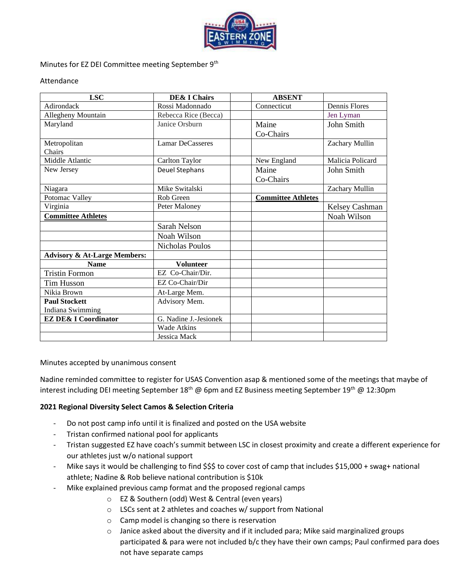

### Minutes for EZ DEI Committee meeting September 9<sup>th</sup>

#### Attendance

| <b>LSC</b>                              | <b>DE&amp; I Chairs</b> | <b>ABSENT</b>             |                      |
|-----------------------------------------|-------------------------|---------------------------|----------------------|
| Adirondack                              | Rossi Madonnado         | Connecticut               | <b>Dennis Flores</b> |
| Allegheny Mountain                      | Rebecca Rice (Becca)    |                           | Jen Lyman            |
| Maryland                                | Janice Orsburn          | Maine                     | John Smith           |
|                                         |                         | Co-Chairs                 |                      |
| Metropolitan                            | <b>Lamar DeCasseres</b> |                           | Zachary Mullin       |
| Chairs                                  |                         |                           |                      |
| Middle Atlantic                         | Carlton Taylor          | New England               | Malicia Policard     |
| New Jersey                              | Deuel Stephans          | Maine                     | John Smith           |
|                                         |                         | Co-Chairs                 |                      |
| Niagara                                 | Mike Switalski          |                           | Zachary Mullin       |
| Potomac Valley                          | Rob Green               | <b>Committee Athletes</b> |                      |
| Virginia                                | Peter Maloney           |                           | Kelsey Cashman       |
| <b>Committee Athletes</b>               |                         |                           | Noah Wilson          |
|                                         | Sarah Nelson            |                           |                      |
|                                         | Noah Wilson             |                           |                      |
|                                         | Nicholas Poulos         |                           |                      |
| <b>Advisory &amp; At-Large Members:</b> |                         |                           |                      |
| <b>Name</b>                             | <b>Volunteer</b>        |                           |                      |
| <b>Tristin Formon</b>                   | EZ Co-Chair/Dir.        |                           |                      |
| <b>Tim Husson</b>                       | EZ Co-Chair/Dir         |                           |                      |
| Nikia Brown                             | At-Large Mem.           |                           |                      |
| <b>Paul Stockett</b>                    | Advisory Mem.           |                           |                      |
| Indiana Swimming                        |                         |                           |                      |
| <b>EZ DE&amp; I Coordinator</b>         | G. Nadine J.-Jesionek   |                           |                      |
|                                         | <b>Wade Atkins</b>      |                           |                      |
|                                         | Jessica Mack            |                           |                      |

Minutes accepted by unanimous consent

Nadine reminded committee to register for USAS Convention asap & mentioned some of the meetings that maybe of interest including DEI meeting September 18<sup>th</sup> @ 6pm and EZ Business meeting September 19<sup>th</sup> @ 12:30pm

### **2021 Regional Diversity Select Camos & Selection Criteria**

- Do not post camp info until it is finalized and posted on the USA website
- Tristan confirmed national pool for applicants
- Tristan suggested EZ have coach's summit between LSC in closest proximity and create a different experience for our athletes just w/o national support
- Mike says it would be challenging to find \$\$\$ to cover cost of camp that includes \$15,000 + swag+ national athlete; Nadine & Rob believe national contribution is \$10k
	- Mike explained previous camp format and the proposed regional camps
		- o EZ & Southern (odd) West & Central (even years)
		- o LSCs sent at 2 athletes and coaches w/ support from National
		- o Camp model is changing so there is reservation
		- $\circ$  Janice asked about the diversity and if it included para; Mike said marginalized groups participated & para were not included b/c they have their own camps; Paul confirmed para does not have separate camps